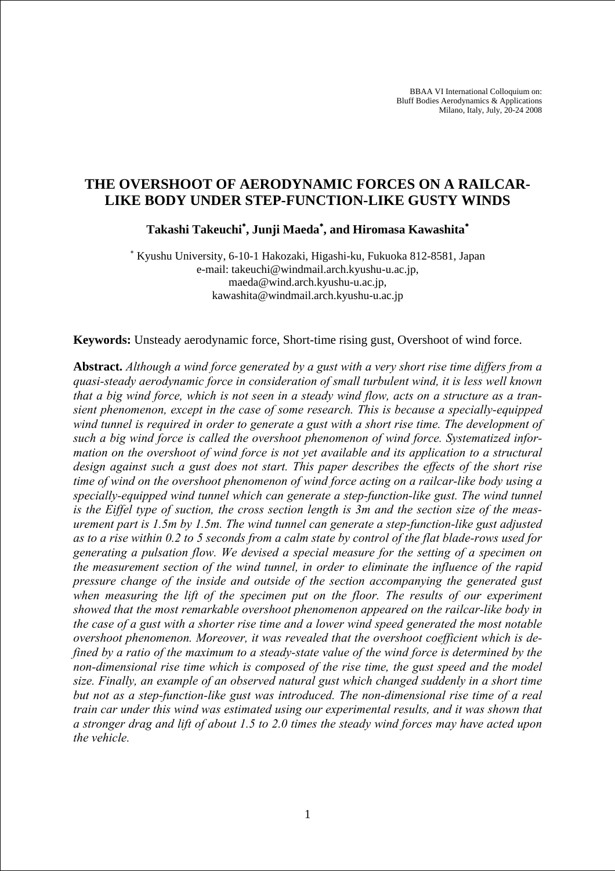BBAA VI International Colloquium on: Bluff Bodies Aerodynamics & Applications Milano, Italy, July, 20-24 2008

# **THE OVERSHOOT OF AERODYNAMIC FORCES ON A RAILCAR-LIKE BODY UNDER STEP-FUNCTION-LIKE GUSTY WINDS**

**Takashi Takeuchi**<sup>∗</sup> **, Junji Maeda**<sup>∗</sup> **, and Hiromasa Kawashita**<sup>∗</sup>

∗ Kyushu University, 6-10-1 Hakozaki, Higashi-ku, Fukuoka 812-8581, Japan e-mail: takeuchi@windmail.arch.kyushu-u.ac.jp, maeda@wind.arch.kyushu-u.ac.jp, kawashita@windmail.arch.kyushu-u.ac.jp

**Keywords:** Unsteady aerodynamic force, Short-time rising gust, Overshoot of wind force.

**Abstract.** *Although a wind force generated by a gust with a very short rise time differs from a quasi-steady aerodynamic force in consideration of small turbulent wind, it is less well known that a big wind force, which is not seen in a steady wind flow, acts on a structure as a transient phenomenon, except in the case of some research. This is because a specially-equipped wind tunnel is required in order to generate a gust with a short rise time. The development of such a big wind force is called the overshoot phenomenon of wind force. Systematized information on the overshoot of wind force is not yet available and its application to a structural design against such a gust does not start. This paper describes the effects of the short rise time of wind on the overshoot phenomenon of wind force acting on a railcar-like body using a specially-equipped wind tunnel which can generate a step-function-like gust. The wind tunnel is the Eiffel type of suction, the cross section length is 3m and the section size of the measurement part is 1.5m by 1.5m. The wind tunnel can generate a step-function-like gust adjusted as to a rise within 0.2 to 5 seconds from a calm state by control of the flat blade-rows used for generating a pulsation flow. We devised a special measure for the setting of a specimen on the measurement section of the wind tunnel, in order to eliminate the influence of the rapid pressure change of the inside and outside of the section accompanying the generated gust when measuring the lift of the specimen put on the floor. The results of our experiment showed that the most remarkable overshoot phenomenon appeared on the railcar-like body in the case of a gust with a shorter rise time and a lower wind speed generated the most notable overshoot phenomenon. Moreover, it was revealed that the overshoot coefficient which is defined by a ratio of the maximum to a steady-state value of the wind force is determined by the non-dimensional rise time which is composed of the rise time, the gust speed and the model size. Finally, an example of an observed natural gust which changed suddenly in a short time but not as a step-function-like gust was introduced. The non-dimensional rise time of a real train car under this wind was estimated using our experimental results, and it was shown that a stronger drag and lift of about 1.5 to 2.0 times the steady wind forces may have acted upon the vehicle.*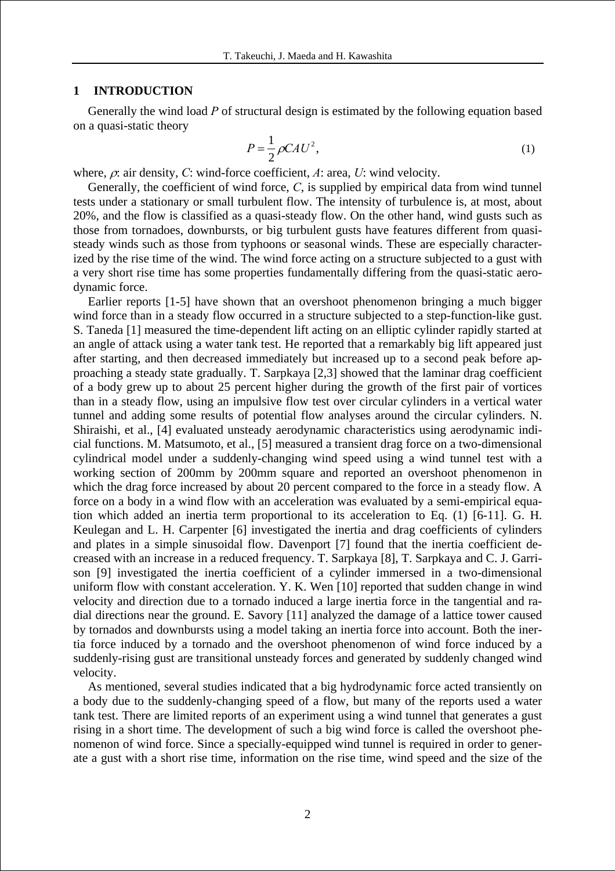#### **1 INTRODUCTION**

Generally the wind load *P* of structural design is estimated by the following equation based on a quasi-static theory

$$
P = \frac{1}{2}\rho C A U^2,\tag{1}
$$

where, ρ: air density, *C*: wind-force coefficient, *A*: area, *U*: wind velocity.

Generally, the coefficient of wind force, *C*, is supplied by empirical data from wind tunnel tests under a stationary or small turbulent flow. The intensity of turbulence is, at most, about 20%, and the flow is classified as a quasi-steady flow. On the other hand, wind gusts such as those from tornadoes, downbursts, or big turbulent gusts have features different from quasisteady winds such as those from typhoons or seasonal winds. These are especially characterized by the rise time of the wind. The wind force acting on a structure subjected to a gust with a very short rise time has some properties fundamentally differing from the quasi-static aerodynamic force.

Earlier reports [1-5] have shown that an overshoot phenomenon bringing a much bigger wind force than in a steady flow occurred in a structure subjected to a step-function-like gust. S. Taneda [1] measured the time-dependent lift acting on an elliptic cylinder rapidly started at an angle of attack using a water tank test. He reported that a remarkably big lift appeared just after starting, and then decreased immediately but increased up to a second peak before approaching a steady state gradually. T. Sarpkaya [2,3] showed that the laminar drag coefficient of a body grew up to about 25 percent higher during the growth of the first pair of vortices than in a steady flow, using an impulsive flow test over circular cylinders in a vertical water tunnel and adding some results of potential flow analyses around the circular cylinders. N. Shiraishi, et al., [4] evaluated unsteady aerodynamic characteristics using aerodynamic indicial functions. M. Matsumoto, et al., [5] measured a transient drag force on a two-dimensional cylindrical model under a suddenly-changing wind speed using a wind tunnel test with a working section of 200mm by 200mm square and reported an overshoot phenomenon in which the drag force increased by about 20 percent compared to the force in a steady flow. A force on a body in a wind flow with an acceleration was evaluated by a semi-empirical equation which added an inertia term proportional to its acceleration to Eq. (1) [6-11]. G. H. Keulegan and L. H. Carpenter [6] investigated the inertia and drag coefficients of cylinders and plates in a simple sinusoidal flow. Davenport [7] found that the inertia coefficient decreased with an increase in a reduced frequency. T. Sarpkaya [8], T. Sarpkaya and C. J. Garrison [9] investigated the inertia coefficient of a cylinder immersed in a two-dimensional uniform flow with constant acceleration. Y. K. Wen [10] reported that sudden change in wind velocity and direction due to a tornado induced a large inertia force in the tangential and radial directions near the ground. E. Savory [11] analyzed the damage of a lattice tower caused by tornados and downbursts using a model taking an inertia force into account. Both the inertia force induced by a tornado and the overshoot phenomenon of wind force induced by a suddenly-rising gust are transitional unsteady forces and generated by suddenly changed wind velocity.

As mentioned, several studies indicated that a big hydrodynamic force acted transiently on a body due to the suddenly-changing speed of a flow, but many of the reports used a water tank test. There are limited reports of an experiment using a wind tunnel that generates a gust rising in a short time. The development of such a big wind force is called the overshoot phenomenon of wind force. Since a specially-equipped wind tunnel is required in order to generate a gust with a short rise time, information on the rise time, wind speed and the size of the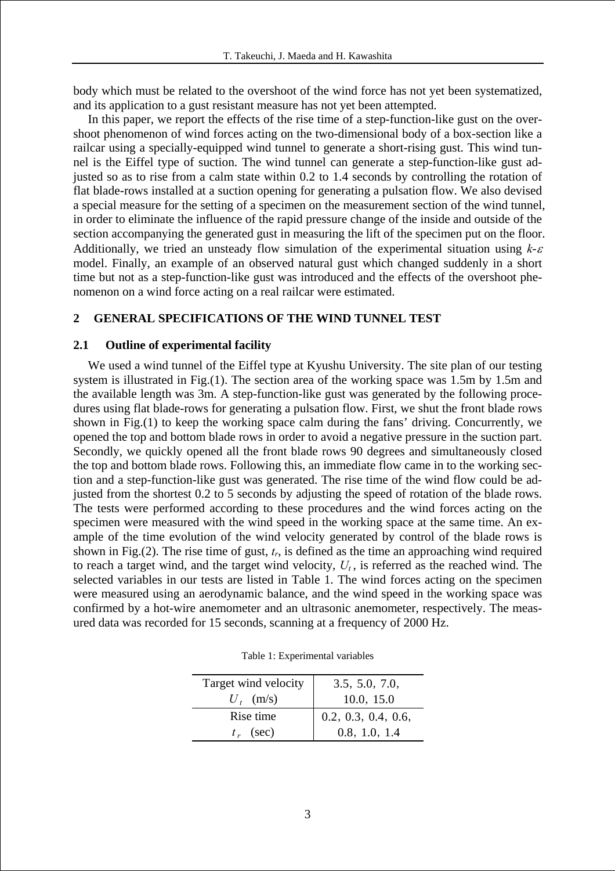body which must be related to the overshoot of the wind force has not yet been systematized, and its application to a gust resistant measure has not yet been attempted.

In this paper, we report the effects of the rise time of a step-function-like gust on the overshoot phenomenon of wind forces acting on the two-dimensional body of a box-section like a railcar using a specially-equipped wind tunnel to generate a short-rising gust. This wind tunnel is the Eiffel type of suction. The wind tunnel can generate a step-function-like gust adjusted so as to rise from a calm state within 0.2 to 1.4 seconds by controlling the rotation of flat blade-rows installed at a suction opening for generating a pulsation flow. We also devised a special measure for the setting of a specimen on the measurement section of the wind tunnel, in order to eliminate the influence of the rapid pressure change of the inside and outside of the section accompanying the generated gust in measuring the lift of the specimen put on the floor. Additionally, we tried an unsteady flow simulation of the experimental situation using *k*-<sup>ε</sup> model. Finally, an example of an observed natural gust which changed suddenly in a short time but not as a step-function-like gust was introduced and the effects of the overshoot phenomenon on a wind force acting on a real railcar were estimated.

# **2 GENERAL SPECIFICATIONS OF THE WIND TUNNEL TEST**

### **2.1 Outline of experimental facility**

We used a wind tunnel of the Eiffel type at Kyushu University. The site plan of our testing system is illustrated in Fig.(1). The section area of the working space was 1.5m by 1.5m and the available length was 3m. A step-function-like gust was generated by the following procedures using flat blade-rows for generating a pulsation flow. First, we shut the front blade rows shown in Fig.(1) to keep the working space calm during the fans' driving. Concurrently, we opened the top and bottom blade rows in order to avoid a negative pressure in the suction part. Secondly, we quickly opened all the front blade rows 90 degrees and simultaneously closed the top and bottom blade rows. Following this, an immediate flow came in to the working section and a step-function-like gust was generated. The rise time of the wind flow could be adjusted from the shortest 0.2 to 5 seconds by adjusting the speed of rotation of the blade rows. The tests were performed according to these procedures and the wind forces acting on the specimen were measured with the wind speed in the working space at the same time. An example of the time evolution of the wind velocity generated by control of the blade rows is shown in Fig.(2). The rise time of gust, *tr*, is defined as the time an approaching wind required to reach a target wind, and the target wind velocity,  $U_t$ , is referred as the reached wind. The selected variables in our tests are listed in Table 1. The wind forces acting on the specimen were measured using an aerodynamic balance, and the wind speed in the working space was confirmed by a hot-wire anemometer and an ultrasonic anemometer, respectively. The measured data was recorded for 15 seconds, scanning at a frequency of 2000 Hz.

| Target wind velocity | 3.5, 5.0, 7.0,      |
|----------------------|---------------------|
| $U_t$ (m/s)          | 10.0, 15.0          |
| Rise time            | 0.2, 0.3, 0.4, 0.6, |
| $t_r$ (sec)          | 0.8, 1.0, 1.4       |

Table 1: Experimental variables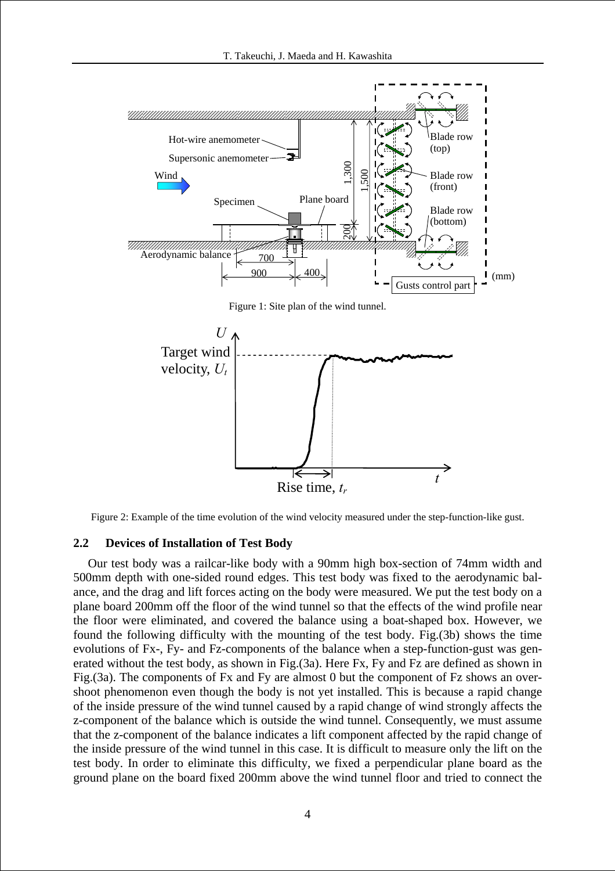

Figure 2: Example of the time evolution of the wind velocity measured under the step-function-like gust.

## **2.2 Devices of Installation of Test Body**

Our test body was a railcar-like body with a 90mm high box-section of 74mm width and 500mm depth with one-sided round edges. This test body was fixed to the aerodynamic balance, and the drag and lift forces acting on the body were measured. We put the test body on a plane board 200mm off the floor of the wind tunnel so that the effects of the wind profile near the floor were eliminated, and covered the balance using a boat-shaped box. However, we found the following difficulty with the mounting of the test body. Fig.(3b) shows the time evolutions of Fx-, Fy- and Fz-components of the balance when a step-function-gust was generated without the test body, as shown in Fig.(3a). Here Fx, Fy and Fz are defined as shown in Fig.(3a). The components of Fx and Fy are almost 0 but the component of Fz shows an overshoot phenomenon even though the body is not yet installed. This is because a rapid change of the inside pressure of the wind tunnel caused by a rapid change of wind strongly affects the z-component of the balance which is outside the wind tunnel. Consequently, we must assume that the z-component of the balance indicates a lift component affected by the rapid change of the inside pressure of the wind tunnel in this case. It is difficult to measure only the lift on the test body. In order to eliminate this difficulty, we fixed a perpendicular plane board as the ground plane on the board fixed 200mm above the wind tunnel floor and tried to connect the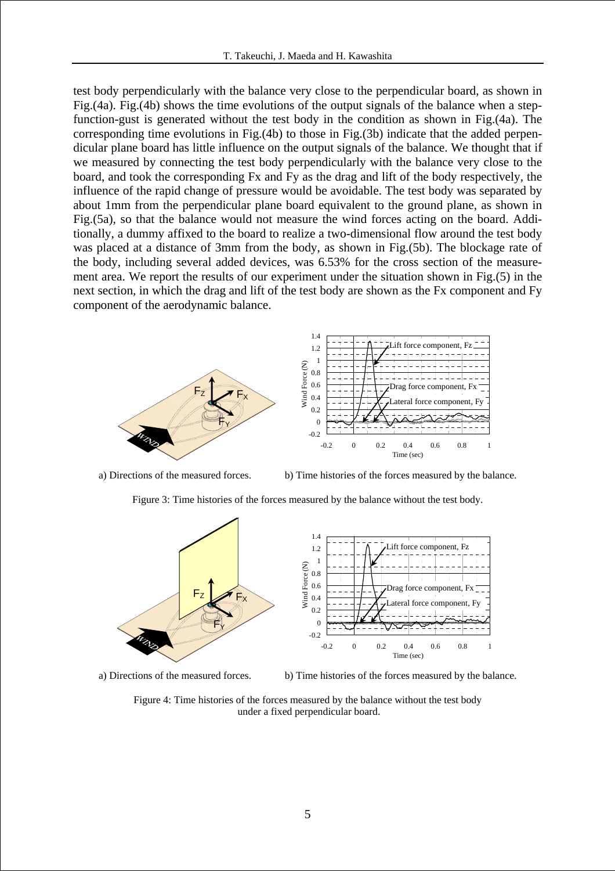test body perpendicularly with the balance very close to the perpendicular board, as shown in Fig.(4a). Fig.(4b) shows the time evolutions of the output signals of the balance when a stepfunction-gust is generated without the test body in the condition as shown in Fig.(4a). The corresponding time evolutions in Fig.(4b) to those in Fig.(3b) indicate that the added perpendicular plane board has little influence on the output signals of the balance. We thought that if we measured by connecting the test body perpendicularly with the balance very close to the board, and took the corresponding Fx and Fy as the drag and lift of the body respectively, the influence of the rapid change of pressure would be avoidable. The test body was separated by about 1mm from the perpendicular plane board equivalent to the ground plane, as shown in Fig.(5a), so that the balance would not measure the wind forces acting on the board. Additionally, a dummy affixed to the board to realize a two-dimensional flow around the test body was placed at a distance of 3mm from the body, as shown in Fig.(5b). The blockage rate of the body, including several added devices, was 6.53% for the cross section of the measurement area. We report the results of our experiment under the situation shown in Fig.(5) in the next section, in which the drag and lift of the test body are shown as the Fx component and Fy component of the aerodynamic balance.



Figure 3: Time histories of the forces measured by the balance without the test body.

a) Directions of the measured forces. b) Time histories of the forces measured by the balance.



a) Directions of the measured forces. b) Time histories of the forces measured by the balance.

Figure 4: Time histories of the forces measured by the balance without the test body under a fixed perpendicular board.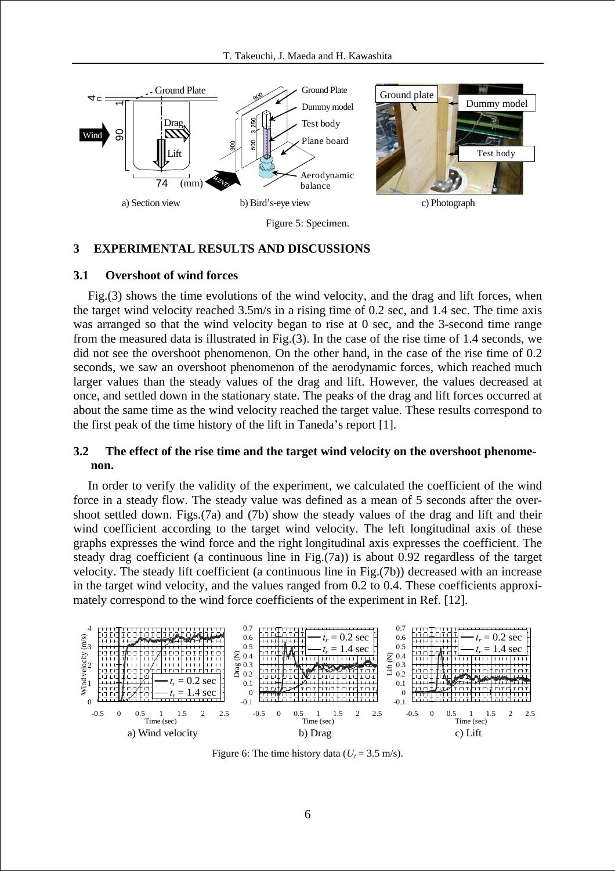

#### **3 EXPERIMENTAL RESULTS AND DISCUSSIONS**

#### **3.1 Overshoot of wind forces**

Fig.(3) shows the time evolutions of the wind velocity, and the drag and lift forces, when the target wind velocity reached 3.5m/s in a rising time of 0.2 sec, and 1.4 sec. The time axis was arranged so that the wind velocity began to rise at 0 sec, and the 3-second time range from the measured data is illustrated in Fig.(3). In the case of the rise time of 1.4 seconds, we did not see the overshoot phenomenon. On the other hand, in the case of the rise time of 0.2 seconds, we saw an overshoot phenomenon of the aerodynamic forces, which reached much larger values than the steady values of the drag and lift. However, the values decreased at once, and settled down in the stationary state. The peaks of the drag and lift forces occurred at about the same time as the wind velocity reached the target value. These results correspond to the first peak of the time history of the lift in Taneda's report [1].

# **3.2 The effect of the rise time and the target wind velocity on the overshoot phenomenon.**

In order to verify the validity of the experiment, we calculated the coefficient of the wind force in a steady flow. The steady value was defined as a mean of 5 seconds after the overshoot settled down. Figs.(7a) and (7b) show the steady values of the drag and lift and their wind coefficient according to the target wind velocity. The left longitudinal axis of these graphs expresses the wind force and the right longitudinal axis expresses the coefficient. The steady drag coefficient (a continuous line in Fig.(7a)) is about 0.92 regardless of the target velocity. The steady lift coefficient (a continuous line in Fig.(7b)) decreased with an increase in the target wind velocity, and the values ranged from 0.2 to 0.4. These coefficients approximately correspond to the wind force coefficients of the experiment in Ref. [12].



Figure 6: The time history data ( $U_t$  = 3.5 m/s).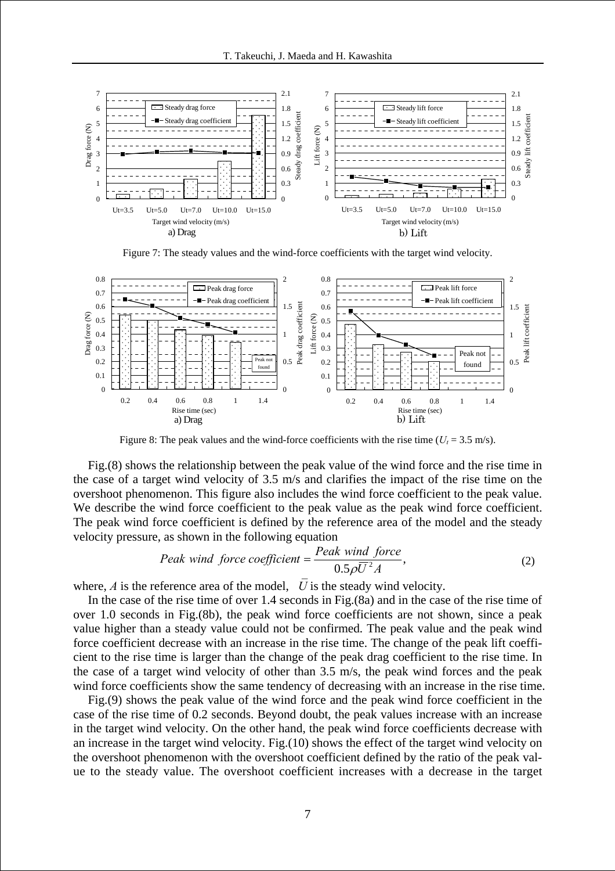

Figure 7: The steady values and the wind-force coefficients with the target wind velocity.



Figure 8: The peak values and the wind-force coefficients with the rise time  $(U_t = 3.5 \text{ m/s})$ .

Fig.(8) shows the relationship between the peak value of the wind force and the rise time in the case of a target wind velocity of 3.5 m/s and clarifies the impact of the rise time on the overshoot phenomenon. This figure also includes the wind force coefficient to the peak value. We describe the wind force coefficient to the peak value as the peak wind force coefficient. The peak wind force coefficient is defined by the reference area of the model and the steady velocity pressure, as shown in the following equation

$$
Peak\ wind\ force\ coefficient = \frac{Peak\ wind\ force}{0.5\rho\overline{U}^2A},\tag{2}
$$

where,  $A$  is the reference area of the model,  $U$  is the steady wind velocity.

In the case of the rise time of over 1.4 seconds in Fig.(8a) and in the case of the rise time of over 1.0 seconds in Fig.(8b), the peak wind force coefficients are not shown, since a peak value higher than a steady value could not be confirmed. The peak value and the peak wind force coefficient decrease with an increase in the rise time. The change of the peak lift coefficient to the rise time is larger than the change of the peak drag coefficient to the rise time. In the case of a target wind velocity of other than 3.5 m/s, the peak wind forces and the peak wind force coefficients show the same tendency of decreasing with an increase in the rise time.

Fig.(9) shows the peak value of the wind force and the peak wind force coefficient in the case of the rise time of 0.2 seconds. Beyond doubt, the peak values increase with an increase in the target wind velocity. On the other hand, the peak wind force coefficients decrease with an increase in the target wind velocity. Fig.(10) shows the effect of the target wind velocity on the overshoot phenomenon with the overshoot coefficient defined by the ratio of the peak value to the steady value. The overshoot coefficient increases with a decrease in the target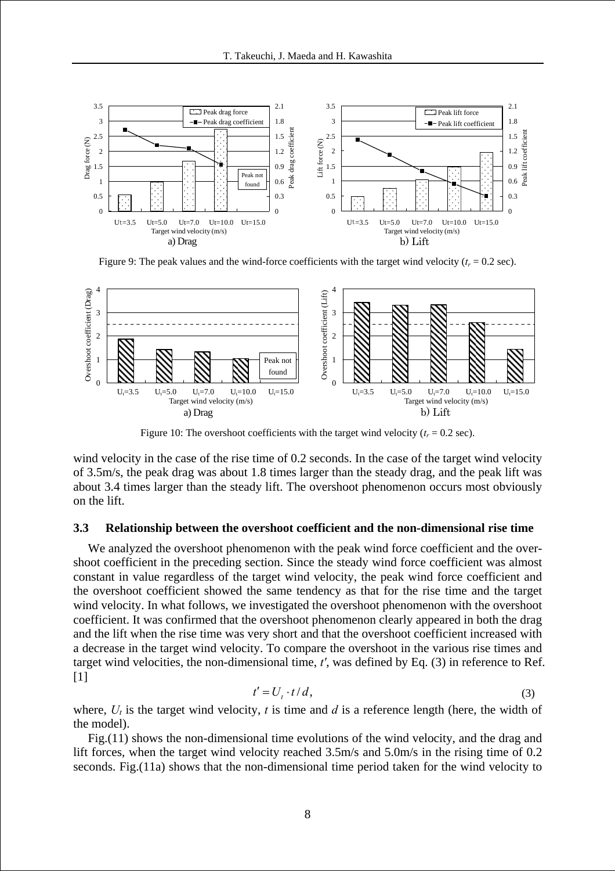

Figure 9: The peak values and the wind-force coefficients with the target wind velocity  $(t_r = 0.2 \text{ sec})$ .



Figure 10: The overshoot coefficients with the target wind velocity  $(t_r = 0.2 \text{ sec})$ .

wind velocity in the case of the rise time of 0.2 seconds. In the case of the target wind velocity of 3.5m/s, the peak drag was about 1.8 times larger than the steady drag, and the peak lift was about 3.4 times larger than the steady lift. The overshoot phenomenon occurs most obviously on the lift.

### **3.3 Relationship between the overshoot coefficient and the non-dimensional rise time**

We analyzed the overshoot phenomenon with the peak wind force coefficient and the overshoot coefficient in the preceding section. Since the steady wind force coefficient was almost constant in value regardless of the target wind velocity, the peak wind force coefficient and the overshoot coefficient showed the same tendency as that for the rise time and the target wind velocity. In what follows, we investigated the overshoot phenomenon with the overshoot coefficient. It was confirmed that the overshoot phenomenon clearly appeared in both the drag and the lift when the rise time was very short and that the overshoot coefficient increased with a decrease in the target wind velocity. To compare the overshoot in the various rise times and target wind velocities, the non-dimensional time, *t'*, was defined by Eq. (3) in reference to Ref. [1]

$$
t' = U_t \cdot t/d, \tag{3}
$$

where,  $U_t$  is the target wind velocity,  $t$  is time and  $d$  is a reference length (here, the width of the model).

Fig.(11) shows the non-dimensional time evolutions of the wind velocity, and the drag and lift forces, when the target wind velocity reached 3.5m/s and 5.0m/s in the rising time of 0.2 seconds. Fig.(11a) shows that the non-dimensional time period taken for the wind velocity to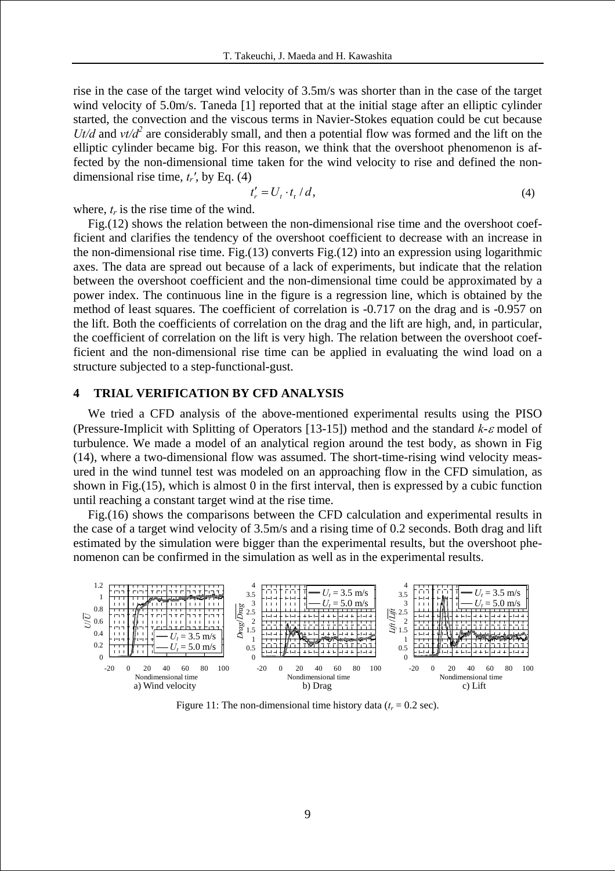rise in the case of the target wind velocity of 3.5m/s was shorter than in the case of the target wind velocity of 5.0m/s. Taneda [1] reported that at the initial stage after an elliptic cylinder started, the convection and the viscous terms in Navier-Stokes equation could be cut because *Ut/d* and  $v t/d^2$  are considerably small, and then a potential flow was formed and the lift on the elliptic cylinder became big. For this reason, we think that the overshoot phenomenon is affected by the non-dimensional time taken for the wind velocity to rise and defined the nondimensional rise time, *tr'*, by Eq. (4)

$$
t'_{r} = U_{t} \cdot t_{r} / d, \qquad (4)
$$

where,  $t_r$  is the rise time of the wind.

Fig.(12) shows the relation between the non-dimensional rise time and the overshoot coefficient and clarifies the tendency of the overshoot coefficient to decrease with an increase in the non-dimensional rise time. Fig.(13) converts Fig.(12) into an expression using logarithmic axes. The data are spread out because of a lack of experiments, but indicate that the relation between the overshoot coefficient and the non-dimensional time could be approximated by a power index. The continuous line in the figure is a regression line, which is obtained by the method of least squares. The coefficient of correlation is -0.717 on the drag and is -0.957 on the lift. Both the coefficients of correlation on the drag and the lift are high, and, in particular, the coefficient of correlation on the lift is very high. The relation between the overshoot coefficient and the non-dimensional rise time can be applied in evaluating the wind load on a structure subjected to a step-functional-gust.

# **4 TRIAL VERIFICATION BY CFD ANALYSIS**

We tried a CFD analysis of the above-mentioned experimental results using the PISO (Pressure-Implicit with Splitting of Operators [13-15]) method and the standard *k*-ε model of turbulence. We made a model of an analytical region around the test body, as shown in Fig (14), where a two-dimensional flow was assumed. The short-time-rising wind velocity measured in the wind tunnel test was modeled on an approaching flow in the CFD simulation, as shown in Fig.(15), which is almost 0 in the first interval, then is expressed by a cubic function until reaching a constant target wind at the rise time.

Fig.(16) shows the comparisons between the CFD calculation and experimental results in the case of a target wind velocity of 3.5m/s and a rising time of 0.2 seconds. Both drag and lift estimated by the simulation were bigger than the experimental results, but the overshoot phenomenon can be confirmed in the simulation as well as in the experimental results.



Figure 11: The non-dimensional time history data  $(t_r = 0.2 \text{ sec})$ .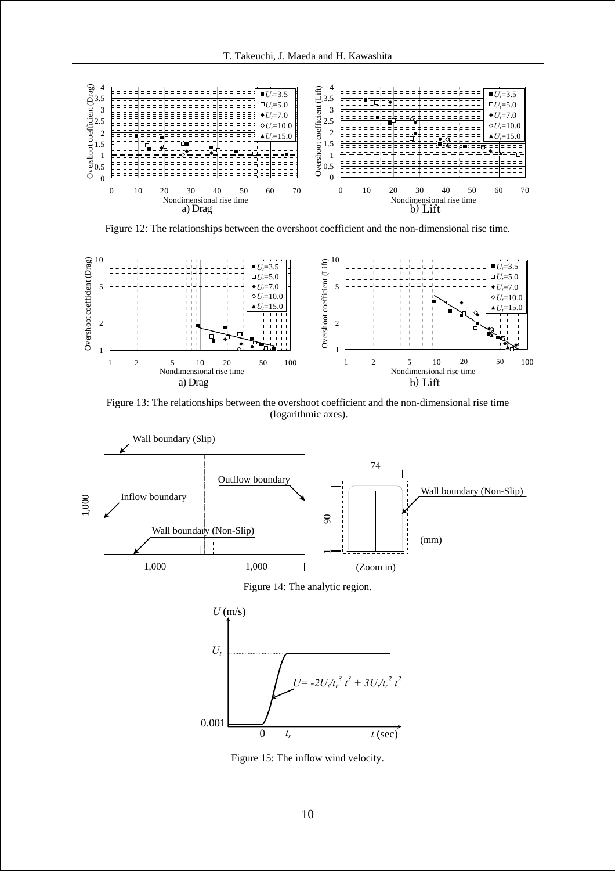

Figure 12: The relationships between the overshoot coefficient and the non-dimensional rise time.



Figure 13: The relationships between the overshoot coefficient and the non-dimensional rise time (logarithmic axes).







Figure 15: The inflow wind velocity.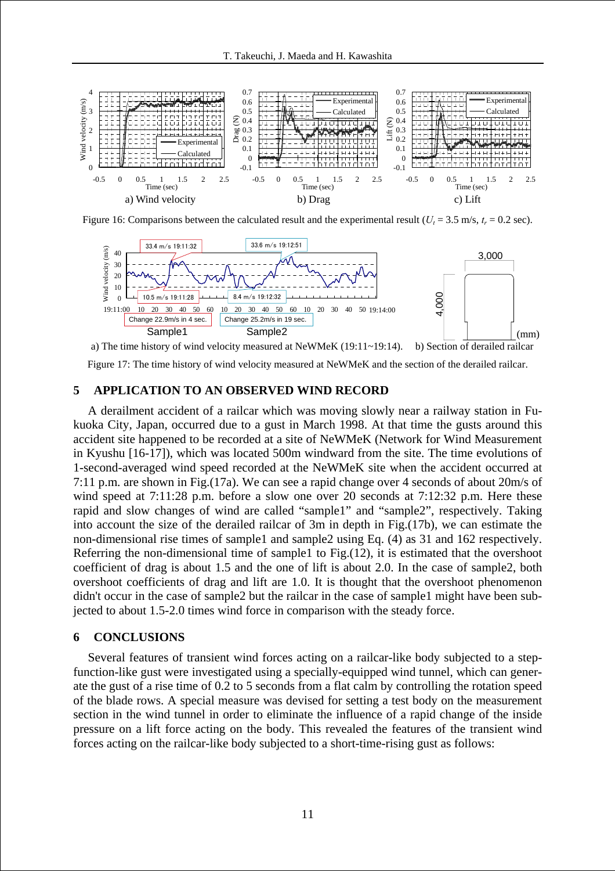

Figure 16: Comparisons between the calculated result and the experimental result ( $U_t$  = 3.5 m/s,  $t_r$  = 0.2 sec).



a) The time history of wind velocity measured at NeWMeK (19:11~19:14). b) Section of derailed railcar

Figure 17: The time history of wind velocity measured at NeWMeK and the section of the derailed railcar.

# **5 APPLICATION TO AN OBSERVED WIND RECORD**

A derailment accident of a railcar which was moving slowly near a railway station in Fukuoka City, Japan, occurred due to a gust in March 1998. At that time the gusts around this accident site happened to be recorded at a site of NeWMeK (Network for Wind Measurement in Kyushu [16-17]), which was located 500m windward from the site. The time evolutions of 1-second-averaged wind speed recorded at the NeWMeK site when the accident occurred at 7:11 p.m. are shown in Fig.(17a). We can see a rapid change over 4 seconds of about 20m/s of wind speed at 7:11:28 p.m. before a slow one over 20 seconds at 7:12:32 p.m. Here these rapid and slow changes of wind are called "sample1" and "sample2", respectively. Taking into account the size of the derailed railcar of 3m in depth in Fig.(17b), we can estimate the non-dimensional rise times of sample1 and sample2 using Eq. (4) as 31 and 162 respectively. Referring the non-dimensional time of sample1 to Fig.(12), it is estimated that the overshoot coefficient of drag is about 1.5 and the one of lift is about 2.0. In the case of sample2, both overshoot coefficients of drag and lift are 1.0. It is thought that the overshoot phenomenon didn't occur in the case of sample2 but the railcar in the case of sample1 might have been subjected to about 1.5-2.0 times wind force in comparison with the steady force.

### **6 CONCLUSIONS**

Several features of transient wind forces acting on a railcar-like body subjected to a stepfunction-like gust were investigated using a specially-equipped wind tunnel, which can generate the gust of a rise time of 0.2 to 5 seconds from a flat calm by controlling the rotation speed of the blade rows. A special measure was devised for setting a test body on the measurement section in the wind tunnel in order to eliminate the influence of a rapid change of the inside pressure on a lift force acting on the body. This revealed the features of the transient wind forces acting on the railcar-like body subjected to a short-time-rising gust as follows: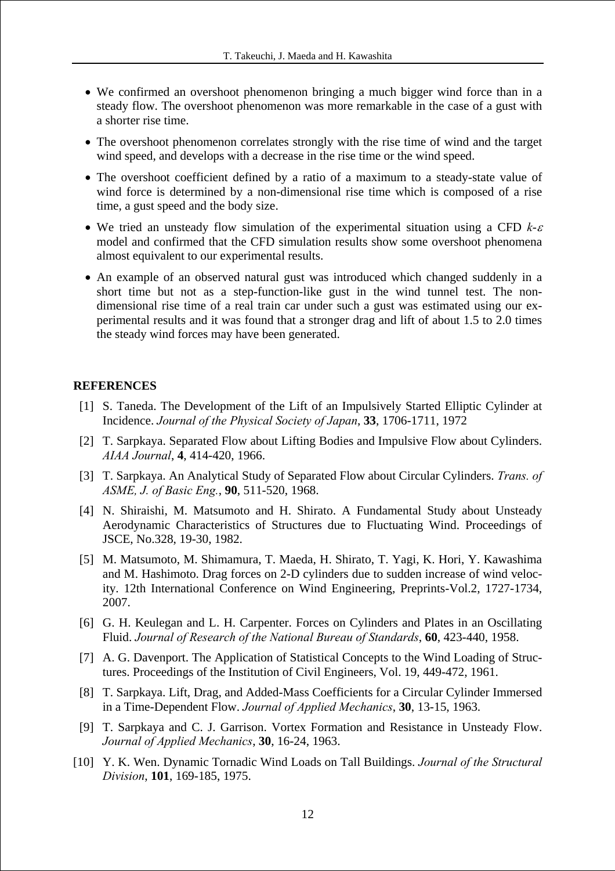- We confirmed an overshoot phenomenon bringing a much bigger wind force than in a steady flow. The overshoot phenomenon was more remarkable in the case of a gust with a shorter rise time.
- The overshoot phenomenon correlates strongly with the rise time of wind and the target wind speed, and develops with a decrease in the rise time or the wind speed.
- The overshoot coefficient defined by a ratio of a maximum to a steady-state value of wind force is determined by a non-dimensional rise time which is composed of a rise time, a gust speed and the body size.
- We tried an unsteady flow simulation of the experimental situation using a CFD *k*-<sup>ε</sup> model and confirmed that the CFD simulation results show some overshoot phenomena almost equivalent to our experimental results.
- An example of an observed natural gust was introduced which changed suddenly in a short time but not as a step-function-like gust in the wind tunnel test. The nondimensional rise time of a real train car under such a gust was estimated using our experimental results and it was found that a stronger drag and lift of about 1.5 to 2.0 times the steady wind forces may have been generated.

### **REFERENCES**

- [1] S. Taneda. The Development of the Lift of an Impulsively Started Elliptic Cylinder at Incidence. *Journal of the Physical Society of Japan*, **33**, 1706-1711, 1972
- [2] T. Sarpkaya. Separated Flow about Lifting Bodies and Impulsive Flow about Cylinders. *AIAA Journal*, **4**, 414-420, 1966.
- [3] T. Sarpkaya. An Analytical Study of Separated Flow about Circular Cylinders. *Trans. of ASME, J. of Basic Eng.*, **90**, 511-520, 1968.
- [4] N. Shiraishi, M. Matsumoto and H. Shirato. A Fundamental Study about Unsteady Aerodynamic Characteristics of Structures due to Fluctuating Wind. Proceedings of JSCE, No.328, 19-30, 1982.
- [5] M. Matsumoto, M. Shimamura, T. Maeda, H. Shirato, T. Yagi, K. Hori, Y. Kawashima and M. Hashimoto. Drag forces on 2-D cylinders due to sudden increase of wind velocity. 12th International Conference on Wind Engineering, Preprints-Vol.2, 1727-1734, 2007.
- [6] G. H. Keulegan and L. H. Carpenter. Forces on Cylinders and Plates in an Oscillating Fluid. *Journal of Research of the National Bureau of Standards*, **60**, 423-440, 1958.
- [7] A. G. Davenport. The Application of Statistical Concepts to the Wind Loading of Structures. Proceedings of the Institution of Civil Engineers, Vol. 19, 449-472, 1961.
- [8] T. Sarpkaya. Lift, Drag, and Added-Mass Coefficients for a Circular Cylinder Immersed in a Time-Dependent Flow. *Journal of Applied Mechanics*, **30**, 13-15, 1963.
- [9] T. Sarpkaya and C. J. Garrison. Vortex Formation and Resistance in Unsteady Flow. *Journal of Applied Mechanics*, **30**, 16-24, 1963.
- [10] Y. K. Wen. Dynamic Tornadic Wind Loads on Tall Buildings. *Journal of the Structural Division*, **101**, 169-185, 1975.